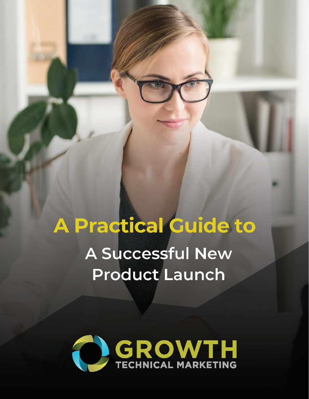# **A Practical Guide to** A Successful New **Product Launch**

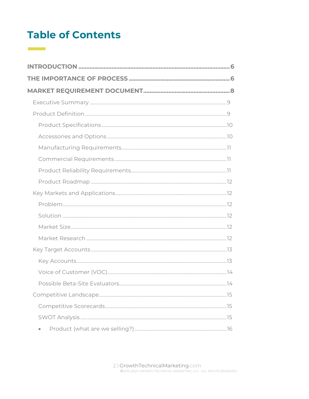## **Table of Contents**

 $\mathcal{L}^{\text{max}}_{\text{max}}$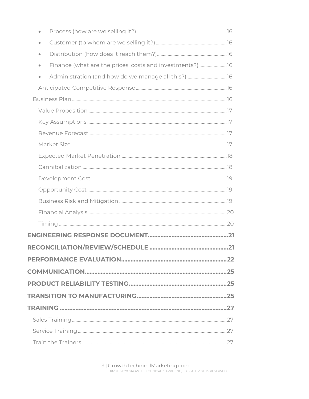| $\bullet$                                                             |    |
|-----------------------------------------------------------------------|----|
| $\bullet$                                                             |    |
| Finance (what are the prices, costs and investments?) 16<br>$\bullet$ |    |
| $\bullet$                                                             |    |
|                                                                       |    |
|                                                                       |    |
|                                                                       |    |
|                                                                       |    |
|                                                                       |    |
|                                                                       |    |
|                                                                       |    |
|                                                                       |    |
|                                                                       |    |
|                                                                       |    |
|                                                                       |    |
|                                                                       |    |
|                                                                       |    |
|                                                                       |    |
|                                                                       |    |
|                                                                       |    |
|                                                                       |    |
|                                                                       |    |
|                                                                       |    |
|                                                                       |    |
|                                                                       |    |
|                                                                       |    |
| Train the Trainers                                                    | 27 |

3 | GrowthTechnicalMarketing.com<br>©2015-2020 GROWTH TECHNICAL MARKETING, LLC - ALL RIGHTS RESERVED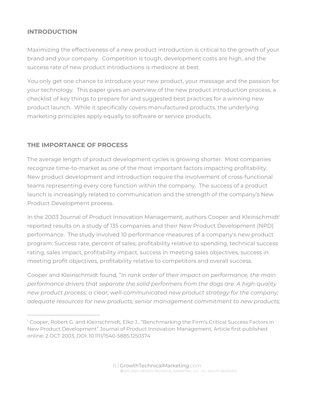## **INTRODUCTION**

Maximizing the effectiveness of a new product introduction is critical to the growth of your brand and your company. Competition is tough, development costs are high, and the success rate of new product introductions is mediocre at best.

You only get one chance to introduce your new product, your message and the passion for your technology. This paper gives an overview of the new product introduction process, a checklist of key things to prepare for and suggested best practices for a winning new product launch. While it specifically covers manufactured products, the underlying marketing principles apply equally to software or service products.

## **THE IMPORTANCE OF PROCESS**

The average length of product development cycles is growing shorter. Most companies recognize time-to-market as one of the most important factors impacting profitability. New product development and introduction require the involvement of cross-functional teams representing every core function within the company. The success of a product launch is increasingly related to communication and the strength of the company's New Product Development process.

In the 2003 Journal of Product Innovation Management, authors Cooper and Kleinschmidt<sup>1</sup> reported results on a study of 135 companies and their New Product Development (NPD) performance. The study involved 10 performance measures of a company's new product program: Success rate, percent of sales, profitability relative to spending, technical success rating, sales impact, profitability impact, success in meeting sales objectives, success in meeting profit objectives, profitability relative to competitors and overall success.

Cooper and Kleinschmidt found, "*In rank order of their impact on performance, the main performance drivers that separate the solid performers from the dogs are: A high-quality new product process; a clear, well-communicated new product strategy for the company; adequate resources for new products; senior management commitment to new products;* 

<sup>1</sup> Cooper, Robert G. and Kleinschmidt, Elko J., "Benchmarking the Firm's Critical Success Factors in New Product Development" Journal of Product Innovation Management, Article first published online: 2 OCT 2003, DOI: 10.1111/1540-5885.1250374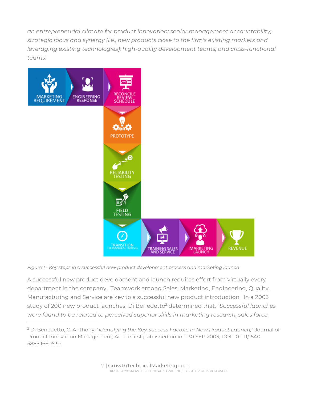*an entrepreneurial climate for product innovation; senior management accountability; strategic focus and synergy (i.e., new products close to the firm's existing markets and leveraging existing technologies); high-quality development teams; and cross-functional teams*."



*Figure 1 - Key steps in a successful new product development process and marketing launch* 

A successful new product development and launch requires effort from virtually every department in the company. Teamwork among Sales, Marketing, Engineering, Quality, Manufacturing and Service are key to a successful new product introduction. In a 2003 study of 200 new product launches, Di Benedetto2 determined that, "*Successful launches were found to be related to perceived superior skills in marketing research, sales force,* 

<sup>2</sup> Di Benedetto, C. Anthony, "*Identifying the Key Success Factors in New Product Launch,"* Journal of Product Innovation Management, Article first published online: 30 SEP 2003, DOI: 10.1111/1540- 5885.1660530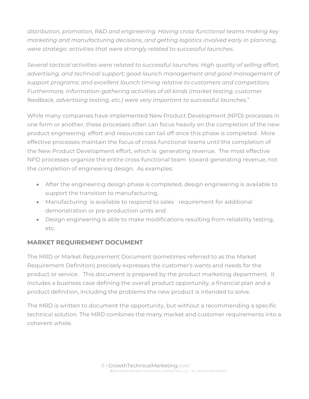*distribution, promotion, R&D and engineering. Having cross-functional teams making key marketing and manufacturing decisions, and getting logistics involved early in planning, were strategic activities that were strongly related to successful launches.* 

*Several tactical activities were related to successful launches: High quality of selling effort, advertising, and technical support; good launch management and good management of support programs; and excellent launch timing relative to customers and competitors. Furthermore, information-gathering activities of all kinds (market testing, customer feedback, advertising testing, etc.) were very important to successful launches.*"

While many companies have implemented New Product Development (NPD) processes in one form or another, these processes often can focus heavily on the completion of the new product engineering effort and resources can tail off once this phase is completed. More effective processes maintain the focus of cross-functional teams until the completion of the New Product Development effort, which is generating revenue. The most effective NPD processes organize the entire cross-functional team toward generating revenue, not the completion of engineering design. As examples:

- After the engineering design phase is completed, design engineering is available to support the transition to manufacturing,
- Manufacturing is available to respond to sales´ requirement for additional demonstration or pre-production units and
- Design engineering is able to make modifications resulting from reliability testing, etc.

## **MARKET REQUIREMENT DOCUMENT**

The MRD or Market Requirement Document (sometimes referred to as the Market Requirement Definition) precisely expresses the customer's wants and needs for the product or service. This document is prepared by the product marketing department. It includes a business case defining the overall product opportunity, a financial plan and a product definition, including the problems the new product is intended to solve.

The MRD is written to document the opportunity, but without a recommending a specific technical solution. The MRD combines the many market and customer requirements into a coherent whole.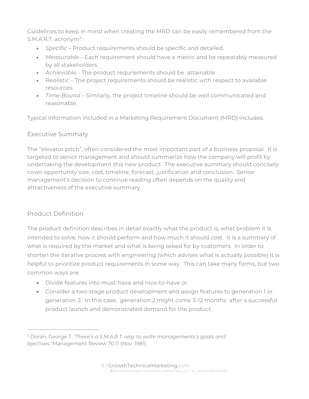Guidelines to keep in mind when creating the MRD can be easily remembered from the S.M.A.R.T. acronym<sup>3</sup>:

- *Specific* Product requirements should be specific and detailed.
- *Measurable* Each requirement should have a metric and be repeatably measured by all stakeholders.
- *Achievable*  The product requriements should be attainable.
- *Realistic* The project requirements should be realistic with respect to available resources.
- *Time-Bound* Similarly, the project timeline should be well communicated and reasonable.

Typical information included in a Marketing Requirement Document (MRD) includes:

## Executive Summary

The "elevator pitch", often considered the most important part of a business proposal. It is targeted to senior management and should summarize how the company will profit by undertaking the development this new product. The executive summary should concisely cover opportunity size, cost, timeline, forecast, justification and conclusion. Senior management's decision to continue reading often depends on the quality and attractiveness of the executive summary.

## Product Definition

The product definition describes in detail exactly what the product is, what problem it is intended to solve, how it should perform and how much it should cost. It is a summary of what is required by the market and what is being asked for by customers. In order to shorten the iterative process with engineering (which advises what is actually possible) it is helpful to prioritize product requirements in some way. This can take many forms, but two common ways are:

- Divide features into must-have and nice-to-have or
- Consider a two-stage product development and assign features to generation 1 or generation 2. In this case, generation 2 might come 3-12 months after a successful product launch and demonstrated demand for the product.

<sup>3</sup> Doran, George T. "*There's a S.M.A.R.T. way to write managements's goals and bjectives.*"Management Review 70.11 (Nov. 1981).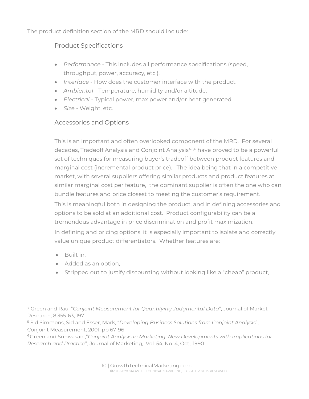The product definition section of the MRD should include:

## Product Specifications

- *Performance* This includes all performance specifications (speed, throughput, power, accuracy, etc.).
- *Interface* How does the customer interface with the product.
- *Ambiental* Temperature, humidity and/or altitude.
- *Electrical* Typical power, max power and/or heat generated.
- *Size* Weight, etc.

## Accessories and Options

This is an important and often overlooked component of the MRD. For several decades, Tradeoff Analysis and Conjoint Analysis<sup>4,5,6</sup> have proved to be a powerful set of techniques for measuring buyer's tradeoff between product features and marginal cost (incremental product price). The idea being that in a competitive market, with several suppliers offering similar products and product features at similar marginal cost per feature, the dominant supplier is often the one who can bundle features and price closest to meeting the customer's requirement. This is meaningful both in designing the product, and in defining accessories and options to be sold at an additional cost. Product configurability can be a tremendous advantage in price discrimination and profit maximization. In defining and pricing options, it is especially important to isolate and correctly value unique product differentiators. Whether features are:

- Built in,
- Added as an option,
- Stripped out to justify discounting without looking like a "cheap" product,

<sup>4</sup> Green and Rau, "*Conjoint Measurement for Quantifying Judgmental Data*", Journal of Market Research, 8:355-63, 1971

<sup>5</sup> Sid Simmons, Sid and Esser, Mark, "*Developing Business Solutions from Conjoint Analysis*", Conjoint Measurement, 2001, pp 67-96

<sup>6</sup> Green and Srinivasan ,"*Conjoint Analysis in Marketing: New Developments with Implications for Research and Practice*", Journal of Marketing, Vol. 54, No. 4, Oct., 1990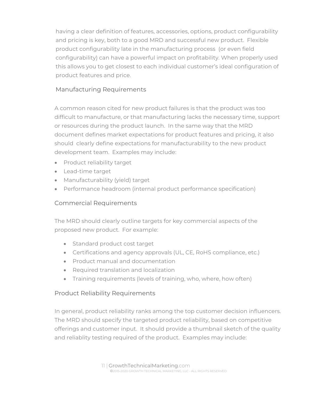having a clear definition of features, accessories, options, product configurability and pricing is key, both to a good MRD and successful new product. Flexible product configurability late in the manufacturing process (or even field configurability) can have a powerful impact on profitability. When properly used this allows you to get closest to each individual customer's ideal configuration of product features and price.

## Manufacturing Requirements

A common reason cited for new product failures is that the product was too difficult to manufacture, or that manufacturing lacks the necessary time, support or resources during the product launch. In the same way that the MRD document defines market expectations for product features and pricing, it also should clearly define expectations for manufacturability to the new product development team. Examples may include:

- Product reliability target
- Lead-time target
- Manufacturability (yield) target
- Performance headroom (internal product performance specification)

## Commercial Requirements

The MRD should clearly outline targets for key commercial aspects of the proposed new product. For example:

- Standard product cost target
- Certifications and agency approvals (UL, CE, RoHS compliance, etc.)
- Product manual and documentation
- Required translation and localization
- Training requirements (levels of training, who, where, how often)

## Product Reliability Requirements

In general, product reliability ranks among the top customer decision influencers. The MRD should specify the targeted product reliability, based on competitive offerings and customer input. It should provide a thumbnail sketch of the quality and reliablity testing required of the product. Examples may include: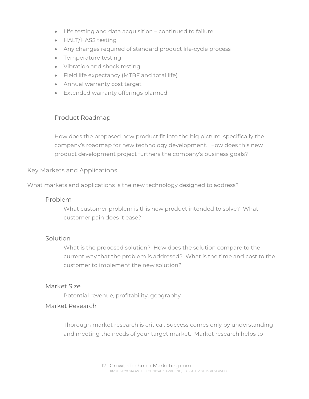- Life testing and data acquisition continued to failure
- HALT/HASS testing
- Any changes required of standard product life-cycle process
- Temperature testing
- Vibration and shock testing
- Field life expectancy (MTBF and total life)
- Annual warranty cost target
- **Extended warranty offerings planned**

#### Product Roadmap

How does the proposed new product fit into the big picture, specifically the company's roadmap for new technology development. How does this new product development project furthers the company's business goals?

#### Key Markets and Applications

What markets and applications is the new technology designed to address?

#### Problem

What customer problem is this new product intended to solve? What customer pain does it ease?

#### **Solution**

What is the proposed solution? How does the solution compare to the current way that the problem is addresed? What is the time and cost to the customer to implement the new solution?

#### Market Size

Potential revenue, profitability, geography

#### Market Research

Thorough market research is critical. Success comes only by understanding and meeting the needs of your target market. Market research helps to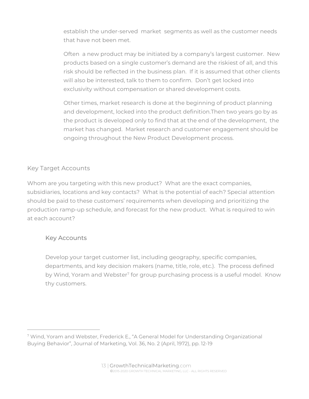establish the under-served market segments as well as the customer needs that have not been met.

Often a new product may be initiated by a company's largest customer. New products based on a single customer's demand are the riskiest of all, and this risk should be reflected in the business plan. If it is assumed that other clients will also be interested, talk to them to confirm. Don't get locked into exclusivity without compensation or shared development costs.

Other times, market research is done at the beginning of product planning and development, locked into the product definition.Then two years go by as the product is developed only to find that at the end of the development, the market has changed. Market research and customer engagement should be ongoing throughout the New Product Development process.

## Key Target Accounts

Whom are you targeting with this new product? What are the exact companies, subsidiaries, locations and key contacts? What is the potential of each? Special attention should be paid to these customers' requirements when developing and prioritizing the production ramp-up schedule, and forecast for the new product. What is required to win at each account?

## Key Accounts

Develop your target customer list, including geography, specific companies, departments, and key decision makers (name, title, role, etc.). The process defined by Wind, Yoram and Webster<sup>7</sup> for group purchasing process is a useful model. Know thy customers.

<sup>7</sup> Wind, Yoram and Webster, Frederick E., "A General Model for Understanding Organizational Buying Behavior", Journal of Marketing, Vol. 36, No. 2 (April, 1972), pp. 12-19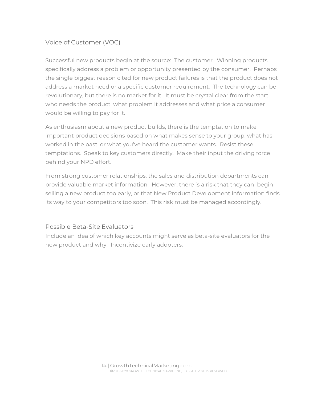## Voice of Customer (VOC)

Successful new products begin at the source: The customer. Winning products specifically address a problem or opportunity presented by the consumer. Perhaps the single biggest reason cited for new product failures is that the product does not address a market need or a specific customer requirement. The technology can be revolutionary, but there is no market for it. It must be crystal clear from the start who needs the product, what problem it addresses and what price a consumer would be willing to pay for it.

As enthusiasm about a new product builds, there is the temptation to make important product decisions based on what makes sense to your group, what has worked in the past, or what you've heard the customer wants. Resist these temptations. Speak to key customers directly. Make their input the driving force behind your NPD effort.

From strong customer relationships, the sales and distribution departments can provide valuable market information. However, there is a risk that they can begin selling a new product too early, or that New Product Development information finds its way to your competitors too soon. This risk must be managed accordingly.

#### Possible Beta-Site Evaluators

Include an idea of which key accounts might serve as beta-site evaluators for the new product and why. Incentivize early adopters.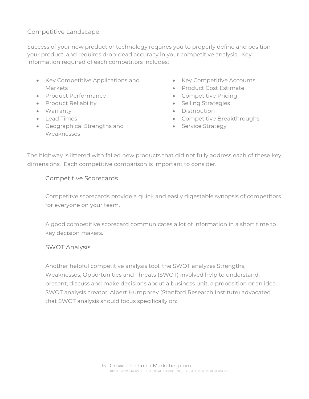## Competitive Landscape

Success of your new product or technology requires you to properly define and position your product, and requires drop-dead accuracy in your competitive analysis. Key information required of each competitors includes;

- Key Competitive Applications and Markets
- Product Performance
- Product Reliability
- Warranty
- $\bullet$  Lead Times
- Geographical Strengths and Weaknesses
- Key Competitive Accounts
- Product Cost Estimate
- Competitive Pricing
- Selling Strategies
- Distribution
- Competitive Breakthroughs
- **Service Strategy**

The highway is littered with failed new products that did not fully address each of these key dimensions. Each competitive comparison is important to consider.

## Competitive Scorecards

Competitve scorecards provide a quick and easily digestable synopsis of competitors for everyone on your team.

A good competitive scorecard communicates a lot of information in a short time to key decision makers.

#### SWOT Analysis

Another helpful competitive analysis tool, the SWOT analyzes Strengths, Weaknesses, Opportunities and Threats (SWOT) involved help to understand, present, discuss and make decisions about a business unit, a proposition or an idea. SWOT analysis creator, Albert Humphrey (Stanford Research Institute) advocated that SWOT analysis should focus specifically on: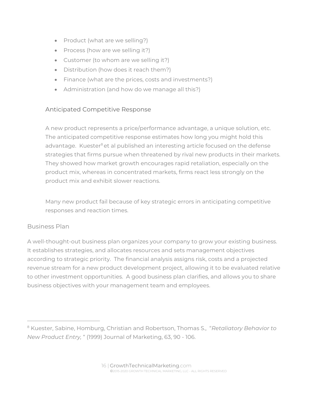- Product (what are we selling?)
- Process (how are we selling it?)
- Customer (to whom are we selling it?)
- Distribution (how does it reach them?)
- Finance (what are the prices, costs and investments?)
- Administration (and how do we manage all this?)

## Anticipated Competitive Response

A new product represents a price/performance advantage, a unique solution, etc. The anticipated competitive response estimates how long you might hold this advantage. Kuester<sup>8</sup> et al published an interesting article focused on the defense strategies that firms pursue when threatened by rival new products in their markets. They showed how market growth encourages rapid retaliation, especially on the product mix, whereas in concentrated markets, firms react less strongly on the product mix and exhibit slower reactions.

Many new product fail because of key strategic errors in anticipating competitive responses and reaction times.

## Business Plan

A well-thought-out business plan organizes your company to grow your existing business. It establishes strategies, and allocates resources and sets management objectives according to strategic priority. The financial analysis assigns risk, costs and a projected revenue stream for a new product development project, allowing it to be evaluated relative to other investment opportunities. A good business plan clarifies, and allows you to share business objectives with your management team and employees.

<sup>8</sup> Kuester, Sabine, Homburg, Christian and Robertson, Thomas S., "*Retaliatory Behavior to New Product Entry,* " (1999) Journal of Marketing, 63, 90 - 106.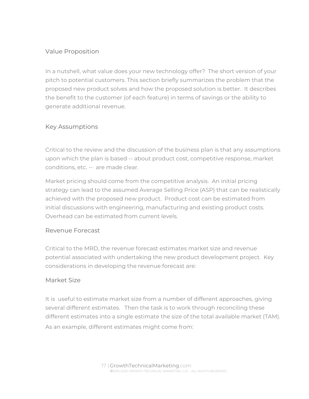## Value Proposition

In a nutshell, what value does your new technology offer? The short version of your pitch to potential customers. This section briefly summarizes the problem that the proposed new product solves and how the proposed solution is better. It describes the benefit to the customer (of each feature) in terms of savings or the ability to generate additional revenue.

## Key Assumptions

Critical to the review and the discussion of the business plan is that any assumptions upon which the plan is based -- about product cost, competitive response, market conditions, etc. -- are made clear.

Market pricing should come from the competitive analysis. An initial pricing strategy can lead to the assumed Average Selling Price (ASP) that can be realistically achieved with the proposed new product. Product cost can be estimated from initial discussions with engineering, manufacturing and existing product costs. Overhead can be estimated from current levels.

#### Revenue Forecast

Critical to the MRD, the revenue forecast estimates market size and revenue potential associated with undertaking the new product development project. Key considerations in developing the revenue forecast are:

#### Market Size

It is useful to estimate market size from a number of different approaches, giving several different estimates. Then the task is to work through reconciling these different estimates into a single estimate the size of the total available market (TAM). As an example, different estimates might come from: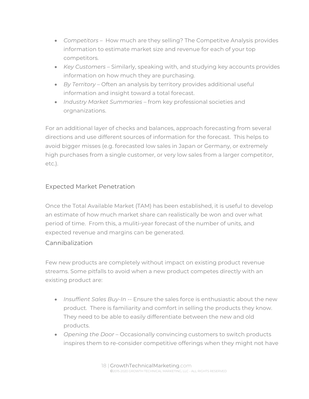- *Competitors* How much are they selling? The Competitve Analysis provides information to estimate market size and revenue for each of your top competitors.
- *Key Customers* Similarly, speaking with, and studying key accounts provides information on how much they are purchasing.
- *By Territory*  Often an analysis by territory provides additional useful information and insight toward a total forecast.
- *Industry Market Summaries* from key professional societies and orgnanizations.

For an additional layer of checks and balances, approach forecasting from several directions and use different sources of information for the forecast. This helps to avoid bigger misses (e.g. forecasted low sales in Japan or Germany, or extremely high purchases from a single customer, or very low sales from a larger competitor, etc.).

## Expected Market Penetration

Once the Total Available Market (TAM) has been established, it is useful to develop an estimate of how much market share can realistically be won and over what period of time. From this, a muliti-year forecast of the number of units, and expected revenue and margins can be generated.

#### Cannibalization

Few new products are completely without impact on existing product revenue streams. Some pitfalls to avoid when a new product competes directly with an existing product are:

- *Insuffient Sales Buy-In* -- Ensure the sales force is enthusiastic about the new product. There is familiarity and comfort in selling the products they know. They need to be able to easily differentiate between the new and old products.
- *Opening the Door* Occasionally convincing customers to switch products inspires them to re-consider competitive offerings when they might not have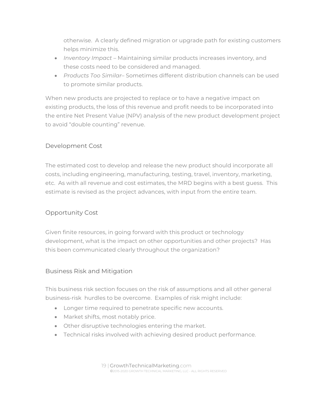otherwise. A clearly defined migration or upgrade path for existing customers helps minimize this.

- *Inventory Impact* Maintaining similar products increases inventory, and these costs need to be considered and managed.
- *Products Too Similar* Sometimes different distribution channels can be used to promote similar products.

When new products are projected to replace or to have a negative impact on existing products, the loss of this revenue and profit needs to be incorporated into the entire Net Present Value (NPV) analysis of the new product development project to avoid "double counting" revenue.

## Development Cost

The estimated cost to develop and release the new product should incorporate all costs, including engineering, manufacturing, testing, travel, inventory, marketing, etc. As with all revenue and cost estimates, the MRD begins with a best guess. This estimate is revised as the project advances, with input from the entire team.

## Opportunity Cost

Given finite resources, in going forward with this product or technology development, what is the impact on other opportunities and other projects? Has this been communicated clearly throughout the organization?

## Business Risk and Mitigation

This business risk section focuses on the risk of assumptions and all other general business-risk hurdles to be overcome. Examples of risk might include:

- Longer time required to penetrate specific new accounts.
- Market shifts, most notably price.
- Other disruptive technologies entering the market.
- Technical risks involved with achieving desired product performance.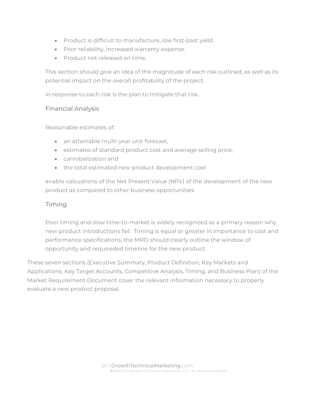- Product is difficult to manufacture, low first-past yield.
- Poor reliability, increased warranty expense.
- Product not released on time.

This section should give an idea of the magnitude of each risk outlined, as well as its potential impact on the overall profitability of the project.

In response to each risk is the plan to mitigate that risk.

#### Financial Analysis

Reasonable estimates of:

- an attainable multi-year unit forecast,
- **estimates of standard product cost and average selling price,**
- cannibalization and
- the total estimated new product development cost

enable calcuations of the Net Present Value (NPV) of the development of the new product as compared to other business opportunities.

## Timing

Poor timing and slow time-to-market is widely recognized as a primary reason why new product introductions fail. Timing is equal or greater in importance to cost and performance specifications, the MRD should clearly outline the window of opportunity and requireded timeline for the new product.

These seven sections (Executive Summary, Product Definition, Key Markets and Applications, Key Target Accounts, Competitive Analysis, Timing, and Business Plan) of the Market Requirement Document cover the relevant information necessary to properly evaluate a new product proposal.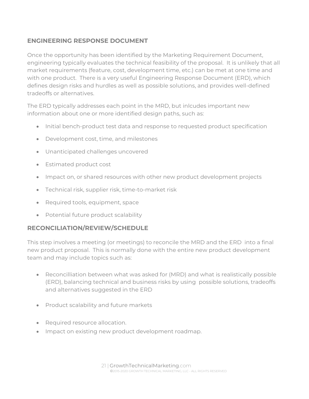## **ENGINEERING RESPONSE DOCUMENT**

Once the opportunity has been identified by the Marketing Requirement Document, engineering typically evaluates the technical feasibility of the proposal. It is unlikely that all market requirements (feature, cost, development time, etc.) can be met at one time and with one product. There is a very useful Engineering Response Document (ERD), which defines design risks and hurdles as well as possible solutions, and provides well-defined tradeoffs or alternatives.

The ERD typically addresses each point in the MRD, but inlcudes important new information about one or more identified design paths, such as:

- Initial bench-product test data and response to requested product specification
- Development cost, time, and milestones
- Unanticipated challenges uncovered
- **•** Estimated product cost
- Impact on, or shared resources with other new product development projects
- Technical risk, supplier risk, time-to-market risk
- Required tools, equipment, space
- Potential future product scalability

## **RECONCILIATION/REVIEW/SCHEDULE**

This step involves a meeting (or meetings) to reconcile the MRD and the ERD into a final new product proposal. This is normally done with the entire new product development team and may include topics such as:

- Reconcilliation between what was asked for (MRD) and what is realistically possible (ERD), balancing technical and business risks by using possible solutions, tradeoffs and alternatives suggested in the ERD
- Product scalability and future markets
- Required resource allocation.
- Impact on existing new product development roadmap.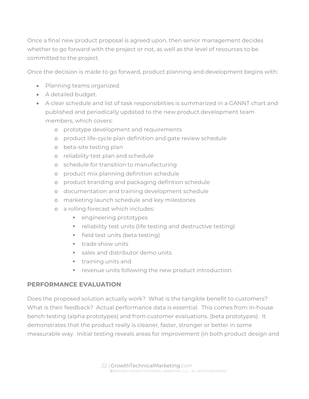Once a final new product proposal is agreed upon, then senior management decides whether to go forward with the project or not, as well as the level of resources to be committed to the project.

Once the decision is made to go forward, product planning and development begins with:

- Planning teams organized.
- A detailed budget.
- A clear schedule and list of task responsiblities is summarized in a GANNT chart and published and periodically updated to the new product development team members, which covers:
	- o prototype development and requirements
	- o product life-cycle plan definition and gate review schedule
	- o beta-site testing plan
	- o reliability test plan and schedule
	- o schedule for transition to manufacturing
	- o product mix planning definition schedule
	- o product branding and packaging defintion schedule
	- o documentation and training development schedule
	- o marketing launch schedule and key milestones
	- o a rolling forecast which includes:
		- **Example 1** engineering prototypes
		- **F** reliability test units (life testing and destructive testing)
		- **field test units (beta testing)**
		- **trade show units**
		- sales and distributor demo units
		- **training units and**
		- **F** revenue units following the new product introduction.

## **PERFORMANCE EVALUATION**

Does the proposed solution actually work? What is the tangible benefit to customers? What is their feedback? Actual performance data is essential. This comes from in-house bench testing (alpha prototypes) and from customer evaluations. (beta prototypes). It demonstrates that the product really is cleaner, faster, stronger or better in some measurable way. Initial testing reveals areas for improvement (in both product design and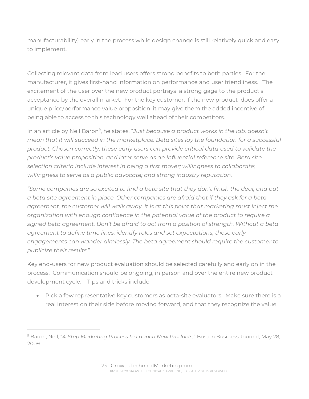manufacturability) early in the process while design change is still relatively quick and easy to implement.

Collecting relevant data from lead users offers strong benefits to both parties. For the manufacturer, it gives first-hand information on performance and user friendliness. The excitement of the user over the new product portrays a strong gage to the product's acceptance by the overall market. For the key customer, if the new product does offer a unique price/performance value proposition, it may give them the added incentive of being able to access to this technology well ahead of their competitors.

In an article by Neil Baron<sup>9</sup>, he states, "*Just because a product works in the lab, doesn't mean that it will succeed in the marketplace. Beta sites lay the foundation for a successful product. Chosen correctly, these early users can provide critical data used to validate the product's value proposition, and later serve as an influential reference site. Beta site selection criteria include interest in being a first mover; willingness to collaborate; willingness to serve as a public advocate; and strong industry reputation.* 

*"Some companies are so excited to find a beta site that they don't finish the deal, and put a beta site agreement in place. Other companies are afraid that if they ask for a beta agreement, the customer will walk away. It is at this point that marketing must inject the organization with enough confidence in the potential value of the product to require a signed beta agreement. Don't be afraid to act from a position of strength. Without a beta agreement to define time lines, identify roles and set expectations, these early engagements can wander aimlessly. The beta agreement should require the customer to publicize their results.*"

Key end-users for new product evaluation should be selected carefully and early on in the process. Communication should be ongoing, in person and over the entire new product development cycle. Tips and tricks include:

 Pick a few representative key customers as beta-site evaluators. Make sure there is a real interest on their side before moving forward, and that they recognize the value

<sup>9</sup> Baron, Neil, "*4-Step Marketing Process to Launch New Products,*" Boston Business Journal, May 28, 2009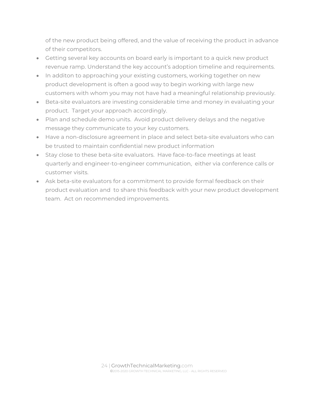of the new product being offered, and the value of receiving the product in advance of their competitors.

- Getting several key accounts on board early is important to a quick new product revenue ramp. Understand the key account's adoption timeline and requirements.
- In additon to approaching your existing customers, working together on new product development is often a good way to begin working with large new customers with whom you may not have had a meaningful relationship previously.
- Beta-site evaluators are investing considerable time and money in evaluating your product. Target your approach accordingly.
- Plan and schedule demo units. Avoid product delivery delays and the negative message they communicate to your key customers.
- Have a non-disclosure agreement in place and select beta-site evaluators who can be trusted to maintain confidential new product information
- Stay close to these beta-site evaluators. Have face-to-face meetings at least quarterly and engineer-to-engineer communication, either via conference calls or customer visits.
- Ask beta-site evaluators for a commitment to provide formal feedback on their product evaluation and to share this feedback with your new product development team. Act on recommended improvements.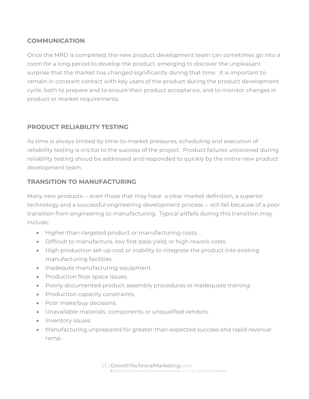## **COMMUNICATION**

Once the MRD is completed, the new product development team can sometimes go into a room for a long period to develop the product, emerging to discover the unpleasant surprise that the market has changed significantly during that time. It is important to remain in constant contact with key users of the product during the product development cycle, both to prepare and to ensure their product acceptance, and to monitor changes in product or market requirements.

## **PRODUCT RELIABILITY TESTING**

As time is always limited by time-to-market pressures, scheduling and execution of reliability testing is cricital to the success of the project. Product failures uncovered during reliability testing shoud be addressed and responded to quickly by the entire new product development team.

## **TRANSITION TO MANUFACTURING**

Many new products -- even those that may have a clear market definition, a superior technology and a successful engineering development process -- still fail because of a poor transition from engineering to manufacturing. Typical pitfalls during this transition may include:

- Higher-than-targeted product or manufacturing costs.
- Difficult to manufacture, low first-pass yield, or high rework costs.
- High production set-up cost or inability to integrate the product into existing manufacturing facilities.
- Inadequte manufacturing equipment.
- Production floor space issues.
- Poorly documented product assembly procedures or inadequate training.
- Production capacity constraints.
- Poor make/buy decisions.
- Unavailable materials, components or unqualified vendors.
- Inventory issues.
- Manufacturing unprepared for greater-than-expected success and rapid revenue ramp.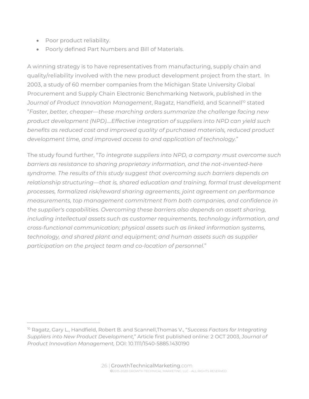- Poor product reliability.
- Poorly defined Part Numbers and Bill of Materials.

A winning strategy is to have representatives from manufacturing, supply chain and quality/reliability involved with the new product development project from the start. In 2003, a study of 60 member companies from the Michigan State University Global Procurement and Supply Chain Electronic Benchmarking Network, published in the Journal of Product Innovation Management, Ragatz, Handfield, and Scannell<sup>10</sup> stated "*Faster, better, cheaper—these marching orders summarize the challenge facing new product development (NPD)….Effective integration of suppliers into NPD can yield such benefits as reduced cost and improved quality of purchased materials, reduced product development time, and improved access to and application of technology.*"

The study found further, "*To integrate suppliers into NPD, a company must overcome such barriers as resistance to sharing proprietary information, and the not-invented-here syndrome. The results of this study suggest that overcoming such barriers depends on relationship structuring—that is, shared education and training, formal trust development processes, formalized risk/reward sharing agreements, joint agreement on performance measurements, top management commitment from both companies, and confidence in the supplier's capabilities. Overcoming these barriers also depends on assett sharing, including intellectual assets such as customer requirements, technology information, and cross-functional communication; physical assets such as linked information systems, technology, and shared plant and equipment; and human assets such as supplier participation on the project team and co-location of personnel.*"

<sup>10</sup> Ragatz, Gary L., Handfield, Robert B. and Scannell,Thomas V., "*Success Factors for Integrating Suppliers into New Product Development,*" Article first published online: 2 OCT 2003, *Journal of Product Innovation Management,* DOI: 10.1111/1540-5885.1430190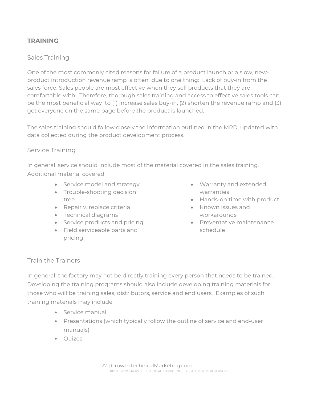## **TRAINING**

## Sales Training

One of the most commonly cited reasons for failure of a product launch or a slow, newproduct introduction revenue ramp is often due to one thing: Lack of buy-in from the sales force. Sales people are most effective when they sell products that they are comfortable with. Therefore, thorough sales training and access to effective sales tools can be the most beneficial way to (1) increase sales buy-in, (2) shorten the revenue ramp and (3) get everyone on the same page before the product is launched.

The sales training should follow closely the information outlined in the MRD, updated with data collected during the product development process.

#### Service Training

In general, service should include most of the material covered in the sales training. Additional material covered:

- Service model and strategy
- Trouble-shooting decision tree
- Repair v. replace criteria
- Technical diagrams
- Service products and pricing
- Field serviceable parts and pricing
- Warranty and extended warranties
- Hands-on time with product
- Known issues and workarounds
- Preventative maintenance schedule

#### Train the Trainers

In general, the factory may not be directly training every person that needs to be trained. Developing the training programs should also include developing training materials for those who will be training sales, distributors, service and end users. Examples of such training materials may include:

- Service manual
- Presentations (which typically follow the outline of service and end-user manuals)
- Quizes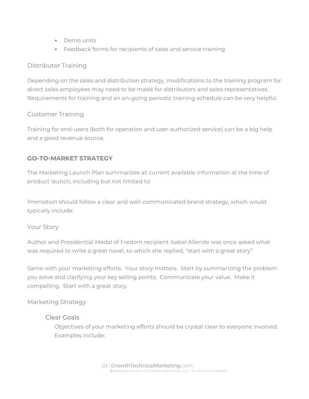- Demo units
- Feedback forms for recipients of sales and service training

## Distributor Training

Depending on the sales and distribution strategy, modifications to the training program for direct sales employees may need to be made for distributors and sales representatives. Requirements for training and an on-going periodic training schedule can be very helpful.

## Customer Training

Training for end-users (both for operation and user-authorized service) can be a big help and a good revenue source.

## **GO-TO-MARKET STRATEGY**

The Marketing Launch Plan summarizes all current available information at the time of product launch, including but not limited to:

Promotion should follow a clear and well-communicated brand strategy, which would typically include:

## Your Story

Author and Presidential Medal of Fredom recipient Isabel Allende was once asked what was required to write a great novel, to which she replied, "start with a great story".

Same with your marketing efforts. Your story matters. Start by summarizing the problem you solve and clarifying your key selling points. Communicate your value. Make it compelling. Start with a great story.

#### Marketing Strategy

#### Clear Goals

Objectives of your marketing efforts should be crystal clear to everyone involved. Examples include: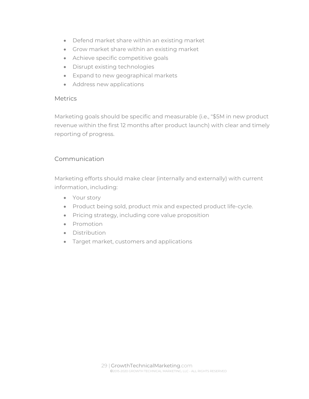- Defend market share within an existing market
- Grow market share within an existing market
- Achieve specific competitive goals
- Disrupt existing technologies
- Expand to new geographical markets
- Address new applications

#### **Metrics**

Marketing goals should be specific and measurable (i.e., "\$5M in new product revenue within the first 12 months after product launch) with clear and timely reporting of progress.

#### Communication

Marketing efforts should make clear (internally and externally) with current information, including:

- Your story
- Product being sold, product mix and expected product life-cycle.
- Pricing strategy, including core value proposition
- Promotion
- Distribution
- Target market, customers and applications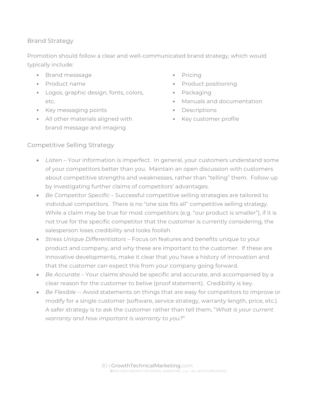## Brand Strategy

Promotion should follow a clear and well-communicated brand strategy, which would typically include:

- Brand messsage
- Product name
- Logos, graphic design, fonts, colors, etc.
- Key messaging points
- All other materials aligned with brand message and imaging
- Pricing
- Product positioning
- Packaging
- Manuals and documentation
- **Descriptions**
- Key customer profile

## Competitive Selling Strategy

- Listen Your information is imperfect. In general, your customers understand some of your competitors better than you. Maintain an open discussion with customers about competitive strengths and weaknesses, rather than "telling" them. Follow up by investigating further claims of competitors' advantages.
- *Be Competitor Specific* Successful competitive selling strategies are tailored to individual competitors. There is no "one size fits all" competitive selling strategy. While a claim may be true for most competitors (e.g. "our product is smaller"), if it is not true for the specific competitor that the customer is currently considering, the salesperson loses credibility and looks foolish.
- *Stress Unique Differentiators* Focus on features and benefits unique to your product and company, and why these are important to the customer. If these are innovative developments, make it clear that you have a history of innovation and that the customer can expect this from your company going forward.
- *Be Accurate* Your claims should be specific and accurate, and accompanied by a clear reason for the customer to belive (proof statement). Credibility is key.
- *Be Flexible* -- Avoid statements on things that are easy for competitors to improve or modify for a single customer (software, service strategy, warranty length, price, etc.). A safer strategy is to ask the customer rather than tell them, "*What is your current warranty and how important is warranty to you?*"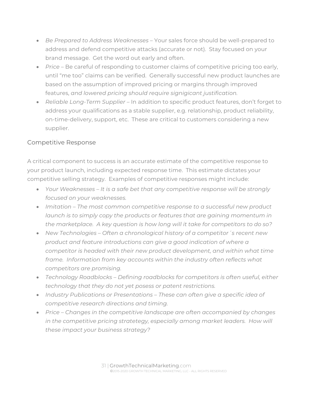- *Be Prepared to Address Weaknesses* Your sales force should be well-prepared to address and defend competitive attacks (accurate or not). Stay focused on your brand message. Get the word out early and often.
- *Price* Be careful of responding to customer claims of competitive pricing too early, until "me too" claims can be verified. Generally successful new product launches are based on the assumption of improved pricing or margins through improved features, *and lowered pricing should require signigicant justification.*
- *Reliable Long-Term Supplier* In addition to specific product features, don't forget to address your qualifications as a stable supplier, e.g. relationship, product reliability, on-time-delivery, support, etc. These are critical to customers considering a new supplier.

## Competitive Response

A critical component to success is an accurate estimate of the competitive response to your product launch, including expected response time. This estimate dictates your competitive selling strategy. Examples of competitive responses might include:

- *Your Weaknesses It is a safe bet that any competitive response will be strongly focused on your weaknesses.*
- *Imitation The most common competitive response to a successful new product launch is to simply copy the products or features that are gaining momentum in the marketplace. A key question is how long will it take for competitors to do so?*
- *New Technologies Often a chronological history of a competitor´s recent new product and feature introductions can give a good indication of where a competitor is headed with their new product development, and within what time frame. Information from key accounts within the industry often reflects what competitors are promising.*
- *Technology Roadblocks Defining roadblocks for competitors is often useful, either technology that they do not yet posess or patent restrictions.*
- *Industry Publications or Presentations These can often give a specific idea of competitive research directions and timing.*
- *Price Changes in the competitive landscape are often accompanied by changes*  in the competitive pricing stratetegy, especially among market leaders. How will *these impact your business strategy?*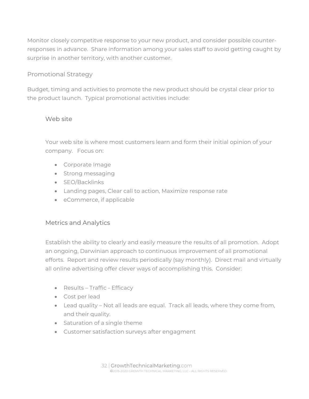Monitor closely competitve response to your new product, and consider possible counterresponses in advance. Share information among your sales staff to avoid getting caught by surprise in another territory, with another customer.

## Promotional Strategy

Budget, timing and activities to promote the new product should be crystal clear prior to the product launch. Typical promotional activities include:

## Web site

Your web site is where most customers learn and form their initial opinion of your company. Focus on:

- Corporate Image
- Strong messaging
- SEO/Backlinks
- Landing pages, Clear call to action, Maximize response rate
- eCommerce, if applicable

## Metrics and Analytics

Establish the ability to clearly and easily measure the results of all promotion. Adopt an ongoing, Darwinian approach to continuous improvement of all promotional efforts. Report and review results periodically (say monthly). Direct mail and virtually all online advertising offer clever ways of accomplishing this. Consider:

- Results Traffic Efficacy
- Cost per lead
- Lead quality Not all leads are equal. Track all leads, where they come from, and their quality.
- Saturation of a single theme
- Customer satisfaction surveys after engagment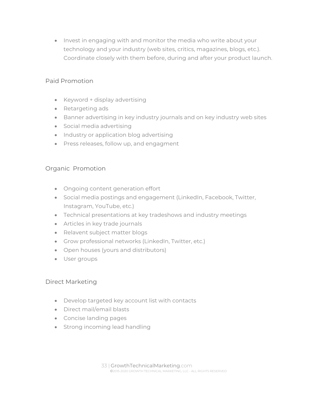• Invest in engaging with and monitor the media who write about your technology and your industry (web sites, critics, magazines, blogs, etc.). Coordinate closely with them before, during and after your product launch.

## Paid Promotion

- Keyword + display advertising
- Retargeting ads
- Banner advertising in key industry journals and on key industry web sites
- Social media advertising
- Industry or application blog advertising
- Press releases, follow up, and engagment

## Organic Promotion

- Ongoing content generation effort
- Social media postings and engagement (LinkedIn, Facebook, Twitter, Instagram, YouTube, etc.)
- Technical presentations at key tradeshows and industry meetings
- Articles in key trade journals
- Relavent subject matter blogs
- Grow professional networks (LinkedIn, Twitter, etc.)
- Open houses (yours and distributors)
- **User groups**

#### Direct Marketing

- Develop targeted key account list with contacts
- Direct mail/email blasts
- Concise landing pages
- Strong incoming lead handling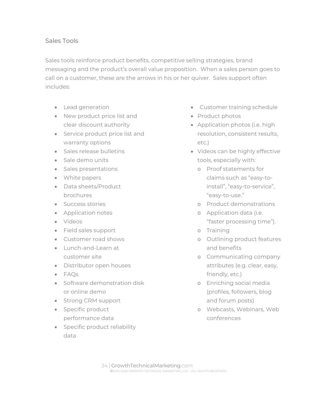#### Sales Tools

Sales tools reinforce product benefits, competitive selling strategies, brand messaging and the product's overall value proposition. When a sales person goes to call on a customer, these are the arrows in his or her quiver. Sales support often includes:

- **•** Lead generation
- New product price list and clear discount authority
- Service product price list and warranty options
- Sales release bulletins
- Sale demo units
- Sales presentations
- White papers
- Data sheets/Product brochures
- **Success stories**
- Application notes
- Videos
- Field sales support
- Customer road shows
- Lunch-and-Learn at customer site
- Distributor open houses
- FAOs
- **Software demonstration disk** or online demo
- Strong CRM support
- Specific product performance data
- Specific product reliability data
- Customer training schedule
- Product photos
- Application photos (i.e. high resolution, consistent results, etc.)
- Videos can be highly effective tools, especially with:
	- o Proof statements for claims such as "easy-toinstall", "easy-to-service", "easy-to-use."
	- o Product demonstrations
	- o Application data (i.e. "faster processing time").
	- o Training
	- o Outlining product features and benefits
	- o Communicating company attributes (e.g. clear, easy, friendly, etc.)
	- o Enriching social media (profiles, followers, blog and forum posts)
	- o Webcasts, Webinars, Web conferences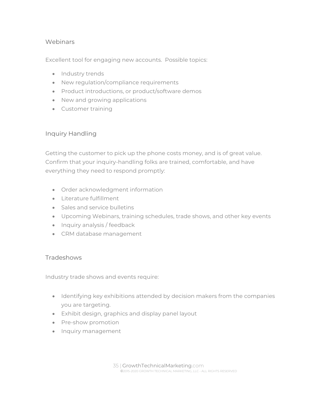#### Webinars

Excellent tool for engaging new accounts. Possible topics:

- Industry trends
- New regulation/compliance requirements
- Product introductions, or product/software demos
- New and growing applications
- **•** Customer training

## Inquiry Handling

Getting the customer to pick up the phone costs money, and is of great value. Confirm that your inquiry-handling folks are trained, comfortable, and have everything they need to respond promptly:

- Order acknowledgment information
- $\bullet$  literature fulfillment
- Sales and service bulletins
- Upcoming Webinars, training schedules, trade shows, and other key events
- Inquiry analysis / feedback
- CRM database management

#### **Tradeshows**

Industry trade shows and events require:

- Identifying key exhibitions attended by decision makers from the companies you are targeting.
- Exhibit design, graphics and display panel layout
- Pre-show promotion
- Inquiry management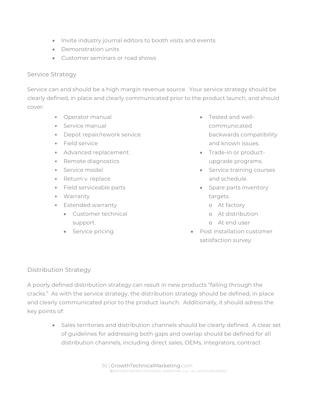- Invite industry journal editors to booth visits and events
- Demonstration units
- Customer seminars or road shows

#### Service Strategy

Service can and should be a high margin revenue source. Your service strategy should be clearly defined, in place and clearly communicated prior to the product launch, and should cover:

- Operator manual
- Service manual
- Depot repair/rework service
- Field service
- Advanced replacement
- Remote diagnostics
- Service model
- Return v. replace
- Field serviceable parts
- Warranty
- Extended warranty
	- Customer technical support.
	- Service pricing
- Tested and wellcommunicated backwards compatibility and known issues.
- Trade-in or productupgrade programs.
- **Service training courses** and schedule.
- Spare parts inventory targets.
	- o At factory
	- o At distribution
	- o At end user
- Post installation customer satisfaction survey.

## Distribution Strategy

A poorly defined distribution strategy can result in new products "falling through the cracks." As with the service strategy, the distribution strategy should be defined, in place and clearly communicated prior to the product launch. Additionally, it should adress the key points of:

> Sales territories and distribution channels should be clearly defined. A clear set of guidelines for addressing both gaps and overlap should be defined for all distribution channels, including direct sales, OEMs, integrators, contract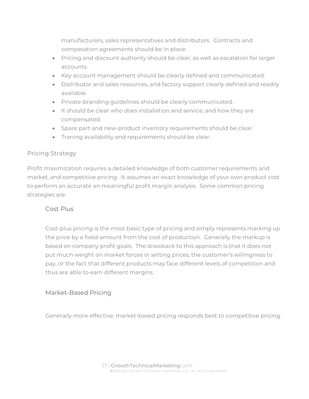manufacturers, sales representatives and distributors. Contracts and compesation agreements should be in place.

- Pricing and discount authority should be clear, as well as escalation for larger accounts.
- Key account management should be clearly defined and communicated.
- Distributor and sales resources, and factory support clearly defined and readily available.
- Private-branding guidelines should be clearly communicated.
- It should be clear who does installation and service, and how they are compensated.
- Spare part and new-product inventory requirements should be clear.
- Traning availability and requirements should be clear.

## Pricing Strategy

Profit maximization requires a detailed knowledge of both customer requirements and market, and competitive pricing. It assumes an exact knowledge of your own product cost to perform an accurate an meaningful profit margin analysis. Some common pricing strategies are:

#### Cost Plus

Cost-plus pricing is the most basic type of pricing and simply represents marking up the price by a fixed amount from the cost of production. Generally the markup is based on company profit goals. The drawback to this approach is that it does not put much weight on market forces in setting prices, the customer's willingness to pay, or the fact that different products may face different levels of competition and thus are able to earn different margins.

## Market-Based Pricing

Generally more effective, market-based pricing responds best to competitive pricing.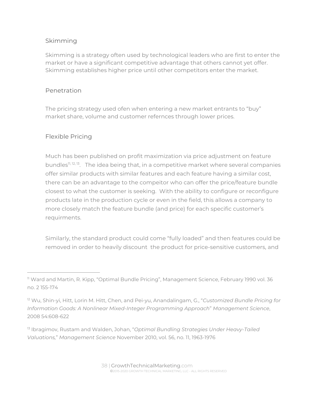## Skimming

Skimming is a strategy often used by technological leaders who are first to enter the market or have a significant competitive advantage that others cannot yet offer. Skimming establishes higher price until other competitors enter the market.

## Penetration

The pricing strategy used ofen when entering a new market entrants to "buy" market share, volume and customer refernces through lower prices.

## Flexible Pricing

Much has been published on profit maximization via price adjustment on feature bundles<sup>11, 12, 13</sup>. The idea being that, in a competitive market where several companies offer similar products with similar features and each feature having a similar cost, there can be an advantage to the compeitor who can offer the price/feature bundle closest to what the customer is seeking. With the ability to configure or reconfigure products late in the production cycle or even in the field, this allows a company to more closely match the feature bundle (and price) for each specific customer's requirments.

Similarly, the standard product could come "fully loaded" and then features could be removed in order to heavily discount the product for price-sensitive customers, and

<sup>&</sup>lt;sup>11</sup> Ward and Martin, R. Kipp, "Optimal Bundle Pricing", Management Science, February 1990 vol. 36 no. 2 155-174

<sup>12</sup> Wu, Shin-yi, Hitt, Lorin M. Hitt, Chen, and Pei-yu, Anandalingam, G., "*Customized Bundle Pricing for Information Goods: A Nonlinear Mixed-Integer Programming Approach*" *Management Science*, 2008 54:608-622

<sup>13</sup> Ibragimov, Rustam and Walden, Johan, "*Optimal Bundling Strategies Under Heavy-Tailed Valuations,*" *Management Science* November 2010, vol. 56, no. 11, 1963-1976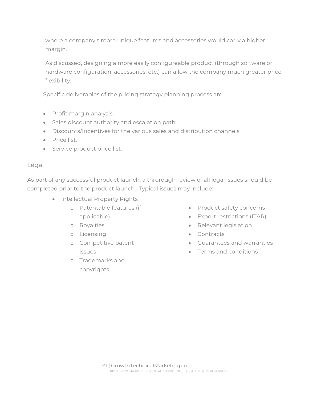where a company's more unique features and accessories would carry a higher margin.

As discussed, designing a more easily configureable product (through software or hardware configuration, accessories, etc.) can allow the company much greater price flexibility.

Specific deliverables of the pricing strategy planning process are:

- Profit margin analysis.
- Sales discount authority and escalation path.
- Discounts/Incentives for the various sales and distribution channels.
- **Price list.**
- Service product price list.

## Legal

As part of any successful product launch, a throrough review of all legal issues should be completed prior to the product launch. Typical issues may include:

- Intellectual Property Rights
	- o Patentable features (if applicable)
	- o Royalties
	- o Licensing
	- o Competitive patent issues
	- o Trademarks and copyrights
- Product safety concerns
- Export restrictions (ITAR)
- Relevant legislation
- Contracts
- Guarantees and warranties
- Terms and conditions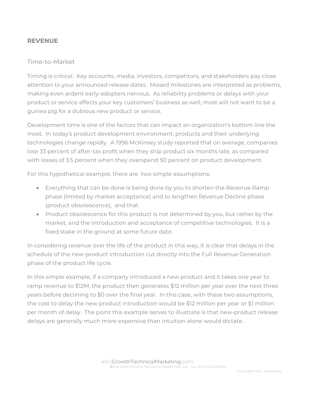#### **REVENUE**

#### Time-to-Market

Timing is critical. Key accounts, media, investors, competitors, and stakeholders pay close attention to your announced release dates. Missed milestones are interpreted as problems, making even ardent early-adopters nervous. As reliability problems or delays with your product or service affects your key customers' business as well, most will not want to be a guinea pig for a dubious new product or service.

Development time is one of the factors that can impact an organization's bottom line the most. In today's product development environment, products and their underlying technologies change rapidly. A 1996 McKinsey study reported that on average, companies lose 33 percent of after-tax profit when they ship product six months late, as compared with losses of 3.5 percent when they overspend 50 percent on product development.

For this hypothetical example, there are two simple assumptions:

- Everything that can be done is being done by you to shorten the Revenue Ramp phase (limited by market acceptance) and to lengthen Revenue Decline phase (product obsolescence), and that
- Product obsolescence for this product is not determined by you, but rather by the market, and the introduction and acceptance of competitive technologies. It is a fixed stake in the ground at some future date.

In considering revenue over the life of the product in this way, it is clear that delays in the schedule of the new-product introduction cut directly into the Full Revenue Generation phase of the product life cycle.

In this simple example, if a company introduced a new product and it takes one year to ramp revenue to \$12M, the product then generates \$12 million per year over the next three years before declining to \$0 over the final year. In this case, with these two assumptions, the cost to delay the new product introduction would be \$12 million per year or \$1 million per month of delay. The point this example serves to illustrate is that new-product release delays are generally much more expensive than intuition alone would dictate.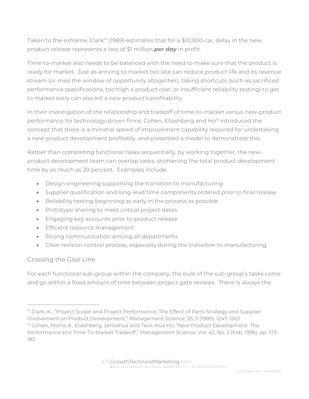Taken to the extreme, Clark<sup>14</sup> (1989) estimates that for a \$10,000 car, delay in the new product release represents a loss of \$1 million *per day* in profit.

Time-to-market also needs to be balanced with the need to make sure that the product is ready for market. Just as arriving to market too late can reduce product life and its revenue stream (or miss the window of opportunity altogether), taking shortcuts (such as sacrificed performance specifications, too high a product cost, or insufficient reliability testing) to get to market early can also kill a new product's profitability.

In their investigation of the relationship and tradeoff of time-to-market versus new-product performance for technology-driven firms, Cohen, Eliashberg and Ho<sup>15</sup> introduced the concept that there is a minimal speed of improvement capability required for undertaking a new-product development profitably, and presented a model to demonstrate this.

Rather than completing functional tasks sequentially, by working together, the newproduct development team can overlap tasks, shortening the total product development time by as much as 30 percent. Examples include:

- Design engineering supporting the transition to manufacturing
- Supplier qualification and long-lead time components ordered prior to final release
- Reliability testing beginning as early in the process as possible
- Prototype sharing to meet critical project dates
- Engaging key accounts prior to product release
- **Efficient resource management**
- Strong communication among all departments
- Clear revision control process, especially during the transition to manufacturing

## Crossing the Goal Line

For each functional sub-group within the company, the bulk of the sub-group's tasks come and go within a fixed amount of time between project gate reviews. There is always the

<sup>&</sup>lt;sup>14</sup> Clark, K., "Project Scope and Project Performance: The Effect of Parts Strategy and Supplier Involvement on Product Development," Management Science, 35, 5 (1989), 1247-1263

<sup>&</sup>lt;sup>15</sup> Cohen, Morris A., Eliashberg, Jehoshua and Teck-Hua Ho, "New Product Development: The Performance and Time-To-Market Tradeoff," Management Science, Vol. 42, No. 2 (Feb, 1996), pp. 173- 183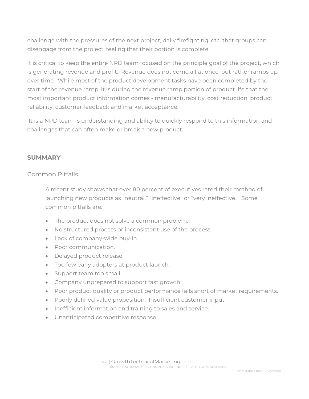challenge with the pressures of the next project, daily firefighting, etc. that groups can disengage from the project, feeling that their portion is complete.

It is critical to keep the entire NPD team focused on the principle goal of the project, which is generating revenue and profit. Revenue does not come all at once, but rather ramps up over time. While most of the product development tasks have been completed by the start of the revenue ramp, it is during the revenue ramp portion of product life that the most important product information comes - manufacturability, cost reduction, product reliability, customer feedback and market acceptance.

 It is a NPD team´s understanding and ability to quickly respond to this information and challenges that can often make or break a new product.

#### **SUMMARY**

## Common Pitfalls

A recent study shows that over 80 percent of executives rated their method of launching new products as "neutral," "ineffective" or "very ineffective." Some common pitfalls are:

- The product does not solve a common problem.
- No structured process or inconsistent use of the process.
- Lack of company-wide buy-in.
- Poor communication.
- Delayed product release.
- Too few early adopters at product launch.
- Support team too small.
- Company unprepared to support fast growth.
- Poor product quality or product performance falls short of market requirements.
- Poorly defined value proposition. Insufficient customer input.
- **Inefficient information and training to sales and service.**
- Unanticipated competitive response.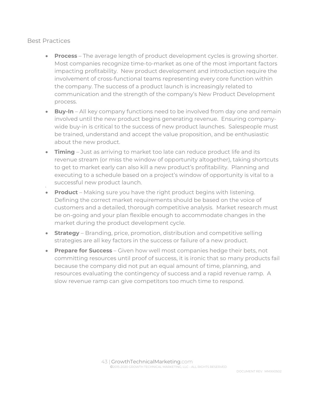#### Best Practices

- **Process** The average length of product development cycles is growing shorter. Most companies recognize time-to-market as one of the most important factors impacting profitability. New product development and introduction require the involvement of cross-functional teams representing every core function within the company. The success of a product launch is increasingly related to communication and the strength of the company's New Product Development process.
- **Buy-In** All key company functions need to be involved from day one and remain involved until the new product begins generating revenue. Ensuring companywide buy-in is critical to the success of new product launches. Salespeople must be trained, understand and accept the value proposition, and be enthusiastic about the new product.
- **Timing**  Just as arriving to market too late can reduce product life and its revenue stream (or miss the window of opportunity altogether), taking shortcuts to get to market early can also kill a new product's profitability. Planning and executing to a schedule based on a project's window of opportunity is vital to a successful new product launch.
- **Product** Making sure you have the right product begins with listening. Defining the correct market requirements should be based on the voice of customers and a detailed, thorough competitive analysis. Market research must be on-going and your plan flexible enough to accommodate changes in the market during the product development cycle.
- **Strategy** Branding, price, promotion, distribution and competitive selling strategies are all key factors in the success or failure of a new product.
- **Prepare for Success** Given how well most companies hedge their bets, not committing resources until proof of success, it is ironic that so many products fail because the company did not put an equal amount of time, planning, and resources evaluating the contingency of success and a rapid revenue ramp. A slow revenue ramp can give competitors too much time to respond.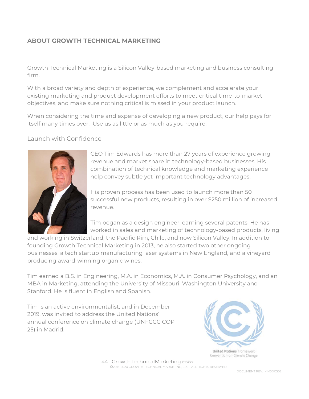## **ABOUT GROWTH TECHNICAL MARKETING**

Growth Technical Marketing is a Silicon Valley-based marketing and business consulting firm.

With a broad variety and depth of experience, we complement and accelerate your existing marketing and product development efforts to meet critical time-to-market objectives, and make sure nothing critical is missed in your product launch.

When considering the time and expense of developing a new product, our help pays for itself many times over. Use us as little or as much as you require.

#### Launch with Confidence



CEO Tim Edwards has more than 27 years of experience growing revenue and market share in technology-based businesses. His combination of technical knowledge and marketing experience help convey subtle yet important technology advantages.

His proven process has been used to launch more than 50 successful new products, resulting in over \$250 million of increased revenue.

Tim began as a design engineer, earning several patents. He has worked in sales and marketing of technology-based products, living

and working in Switzerland, the Pacific Rim, Chile, and now Silicon Valley. In addition to founding Growth Technical Marketing in 2013, he also started two other ongoing businesses, a tech startup manufacturing laser systems in New England, and a vineyard producing award-winning organic wines.

Tim earned a B.S. in Engineering, M.A. in Economics, M.A. in Consumer Psychology, and an MBA in Marketing, attending the University of Missouri, Washington University and Stanford. He is fluent in English and Spanish.

Tim is an active environmentalist, and in December 2019, was invited to address the United Nations' annual conference on climate change (UNFCCC COP 25) in Madrid.



 44 | GrowthTechnicalMarketing.com ©2015-2020 GROWTH TECHNICAL MARKETING, LLC - ALL RIGHTS RESERVED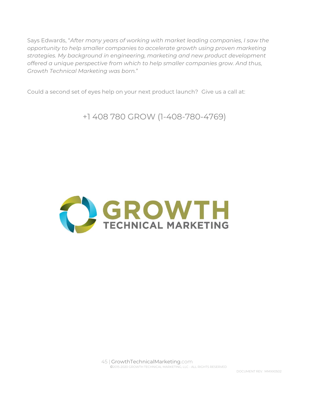Says Edwards, "*After many years of working with market leading companies, I saw the opportunity to help smaller companies to accelerate growth using proven marketing strategies. My background in engineering, marketing and new product development offered a unique perspective from which to help smaller companies grow. And thus, Growth Technical Marketing was born.*"

Could a second set of eyes help on your next product launch? Give us a call at:

+1 408 780 GROW (1-408-780-4769)



 45 | GrowthTechnicalMarketing.com ©2015-2020 GROWTH TECHNICAL MARKETING, LLC - ALL RIGHTS RESERVED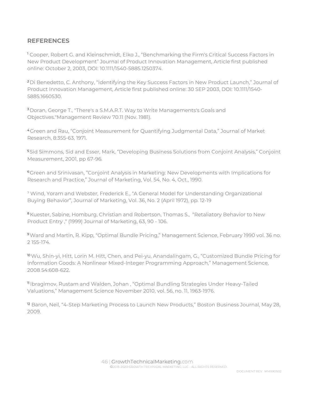#### **REFERENCES**

1 Cooper, Robert G. and Kleinschmidt, Elko J., "Benchmarking the Firm's Critical Success Factors in New Product Development" Journal of Product Innovation Management, Article first published online: October 2, 2003, DOI: 10.1111/1540-5885.1250374.

2 Di Benedetto, C. Anthony, "Identifying the Key Success Factors in New Product Launch," Journal of Product Innovation Management, Article first published online: 30 SEP 2003, DOI: 10.1111/1540- 5885.1660530.

3 Doran, George T., "There's a S.M.A.R.T. Way to Write Managements's Goals and Objectives."Management Review 70.11 (Nov. 1981).

4 Green and Rau, "Conjoint Measurement for Quantifying Judgmental Data," Journal of Market Research, 8:355-63, 1971.

5 Sid Simmons, Sid and Esser, Mark, "Developing Business Solutions from Conjoint Analysis," Conjoint Measurement, 2001, pp 67-96.

6 Green and Srinivasan, "Conjoint Analysis in Marketing: New Developments with Implications for Research and Practice," Journal of Marketing, Vol. 54, No. 4, Oct., 1990.

7 Wind, Yoram and Webster, Frederick E., "A General Model for Understanding Organizational Buying Behavior", Journal of Marketing, Vol. 36, No. 2 (April 1972), pp. 12-19

<sup>8</sup> Kuester, Sabine, Homburg, Christian and Robertson, Thomas S., "Retaliatory Behavior to New Product Entry ," (1999) Journal of Marketing, 63, 90 - 106.

9 Ward and Martin, R. Kipp, "Optimal Bundle Pricing," Management Science, February 1990 vol. 36 no. 2 155-174.

10 Wu, Shin-yi, Hitt, Lorin M. Hitt, Chen, and Pei-yu, Anandalingam, G., "Customized Bundle Pricing for Information Goods: A Nonlinear Mixed-Integer Programming Approach," Management Science, 2008 54:608-622.

11 Ibragimov, Rustam and Walden, Johan , "Optimal Bundling Strategies Under Heavy-Tailed Valuations," Management Science November 2010, vol. 56, no. 11, 1963-1976.

<sup>12</sup> Baron, Neil, "4-Step Marketing Process to Launch New Products," Boston Business Journal, May 28, 2009.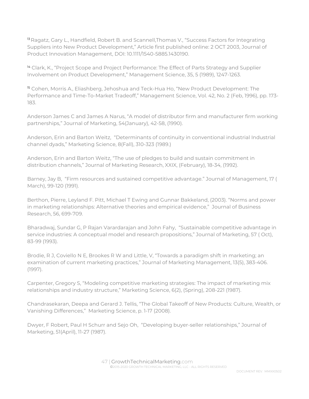<sup>13</sup> Ragatz, Gary L., Handfield, Robert B. and Scannell, Thomas V., "Success Factors for Integrating Suppliers into New Product Development," Article first published online: 2 OCT 2003, Journal of Product Innovation Management, DOI: 10.1111/1540-5885.1430190.

<sup>14</sup> Clark, K., "Project Scope and Project Performance: The Effect of Parts Strategy and Supplier Involvement on Product Development," Management Science, 35, 5 (1989), 1247-1263.

15 Cohen, Morris A., Eliashberg, Jehoshua and Teck-Hua Ho, "New Product Development: The Performance and Time-To-Market Tradeoff," Management Science, Vol. 42, No. 2 (Feb, 1996), pp. 173- 183.

Anderson James C and James A Narus, "A model of distributor firm and manufacturer firm working partnerships," Journal of Marketing, 54(January), 42-58, (1990).

Anderson, Erin and Barton Weitz, "Determinants of continuity in conventional industrial Industrial channel dyads," Marketing Science, 8(Fall), 310-323 (1989.)

Anderson, Erin and Barton Weitz, "The use of pledges to build and sustain commitment in distribution channels," Journal of Marketing Research, XXIX, (February), 18-34, (1992).

Barney, Jay B, "Firm resources and sustained competitive advantage." Journal of Management, 17 ( March), 99-120 (1991).

Berthon, Pierre, Leyland F. Pitt, Michael T Ewing and Gunnar Bakkeland, (2003). "Norms and power in marketing relationships: Alternative theories and empirical evidence," Journal of Business Research, 56, 699-709.

Bharadwaj, Sundar G, P Rajan Varardarajan and John Fahy, "Sustainable competitive advantage in service industries: A conceptual model and research propositions," Journal of Marketing, 57 ( Oct), 83-99 (1993).

Brodie, R J, Coviello N E, Brookes R W and Little, V, "Towards a paradigm shift in marketing; an examination of current marketing practices," Journal of Marketing Management, 13(5), 383-406. (1997).

Carpenter, Gregory S, "Modeling competitive marketing strategies: The impact of marketing mix relationships and industry structure," Marketing Science, 6(2), (Spring), 208-221 (1987).

Chandrasekaran, Deepa and Gerard J. Tellis, "The Global Takeoff of New Products: Culture, Wealth, or Vanishing Differences," Marketing Science, p. 1-17 (2008).

Dwyer, F Robert, Paul H Schurr and Sejo Oh, "Developing buyer-seller relationships," Journal of Marketing, 51(April), 11-27 (1987).